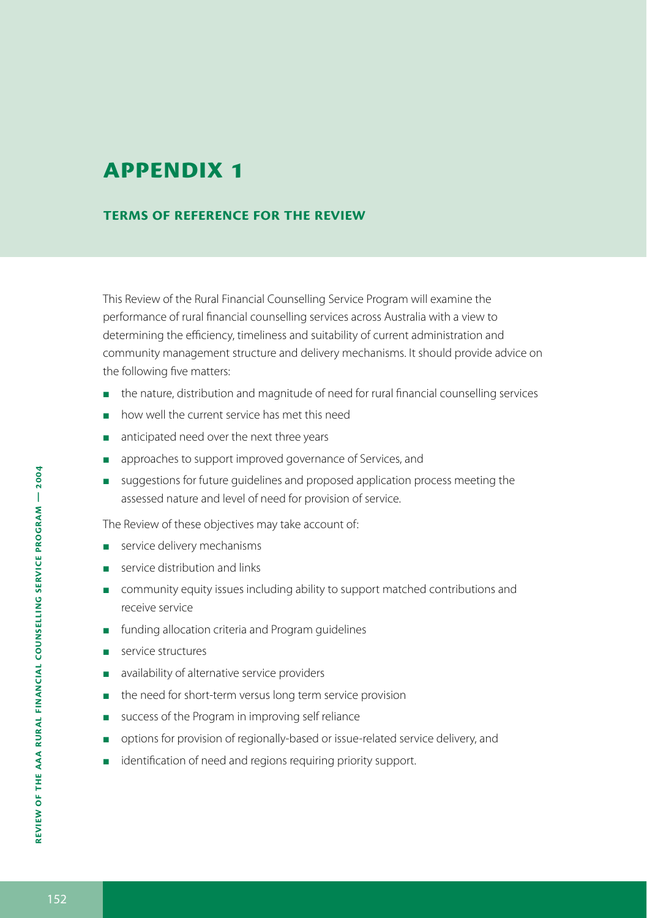#### **Terms of reference for the review**

This Review of the Rural Financial Counselling Service Program will examine the performance of rural financial counselling services across Australia with a view to determining the efficiency, timeliness and suitability of current administration and community management structure and delivery mechanisms. It should provide advice on the following five matters:

- **the nature, distribution and magnitude of need for rural financial counselling services**
- **n** how well the current service has met this need
- anticipated need over the next three years  $\sim$
- approaches to support improved governance of Services, and E
- suggestions for future guidelines and proposed application process meeting the assessed nature and level of need for provision of service.

The Review of these objectives may take account of:

- service delivery mechanisms
- service distribution and links
- **n** community equity issues including ability to support matched contributions and receive service
- **funding allocation criteria and Program guidelines**
- service structures Е
- availability of alternative service providers Е
- **n** the need for short-term versus long term service provision
- success of the Program in improving self reliance  $\mathcal{L}_{\mathcal{A}}$
- **perm** options for provision of regionally-based or issue-related service delivery, and
- identification of need and regions requiring priority support. E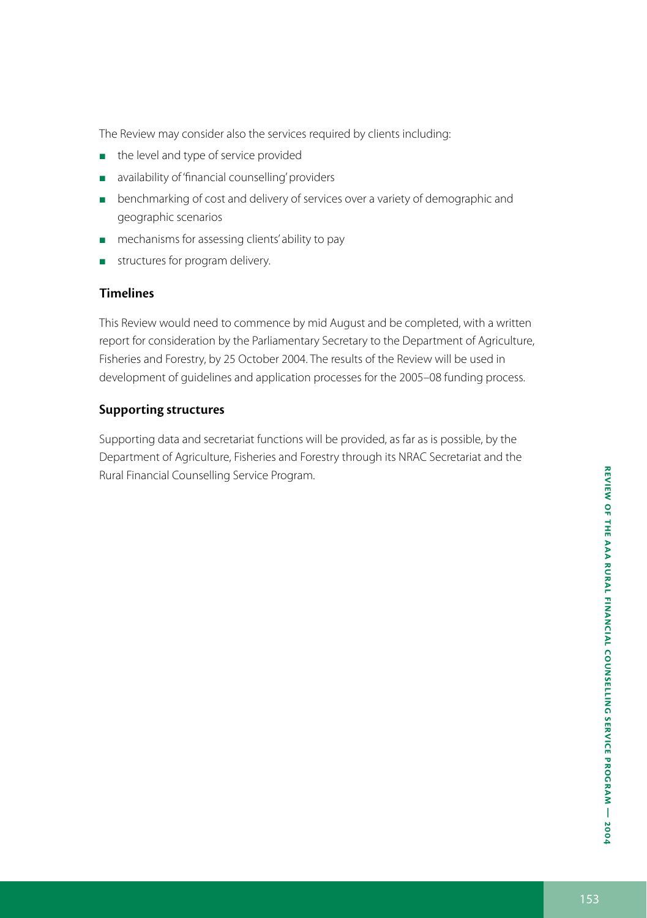The Review may consider also the services required by clients including:

- **the level and type of service provided**
- **a** availability of 'financial counselling' providers
- **Denchmarking of cost and delivery of services over a variety of demographic and** geographic scenarios
- **n** mechanisms for assessing clients' ability to pay
- structures for program delivery.  $\overline{\phantom{a}}$

#### **Timelines**

This Review would need to commence by mid August and be completed, with a written report for consideration by the Parliamentary Secretary to the Department of Agriculture, Fisheries and Forestry, by 25 October 2004. The results of the Review will be used in development of guidelines and application processes for the 2005–08 funding process.

#### **Supporting structures**

Supporting data and secretariat functions will be provided, as far as is possible, by the Department of Agriculture, Fisheries and Forestry through its NRAC Secretariat and the Rural Financial Counselling Service Program.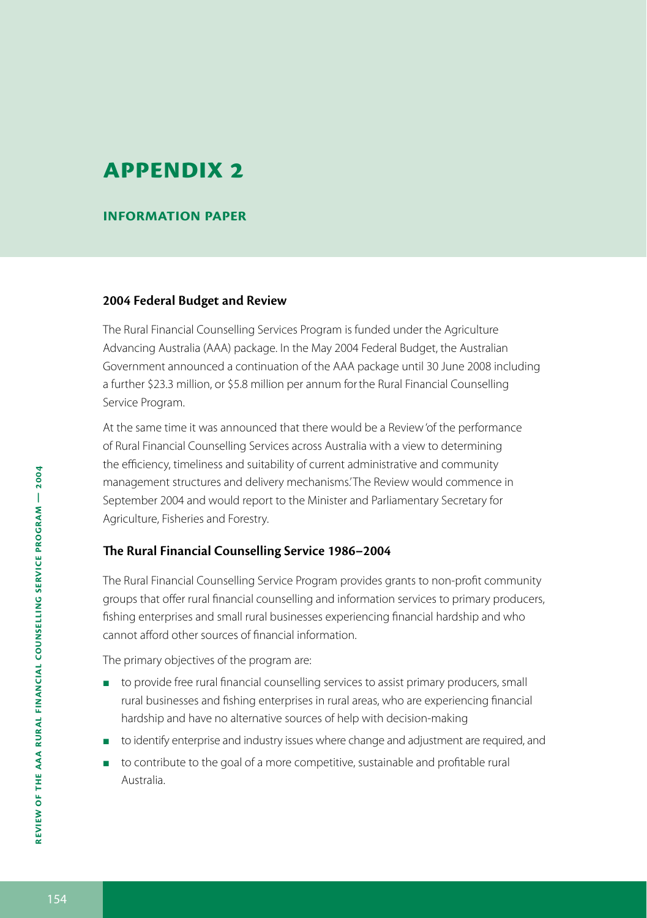**Information paper**

#### **2004 Federal Budget and Review**

The Rural Financial Counselling Services Program is funded under the Agriculture Advancing Australia (AAA) package. In the May 2004 Federal Budget, the Australian Government announced a continuation of the AAA package until 30 June 2008 including a further \$23.3 million, or \$5.8 million per annum forthe Rural Financial Counselling Service Program.

At the same time it was announced that there would be a Review 'of the performance of Rural Financial Counselling Services across Australia with a view to determining the efficiency, timeliness and suitability of current administrative and community management structures and delivery mechanisms.' The Review would commence in September 2004 and would report to the Minister and Parliamentary Secretary for Agriculture, Fisheries and Forestry.

#### **The Rural Financial Counselling Service 1986–2004**

The Rural Financial Counselling Service Program provides grants to non-profit community groups that offer rural financial counselling and information services to primary producers, fishing enterprises and small rural businesses experiencing financial hardship and who cannot afford other sources of financial information.

The primary objectives of the program are:

- to provide free rural financial counselling services to assist primary producers, small rural businesses and fishing enterprises in rural areas, who are experiencing financial hardship and have no alternative sources of help with decision-making
- to identify enterprise and industry issues where change and adjustment are required, and
- to contribute to the goal of a more competitive, sustainable and profitable rural Australia.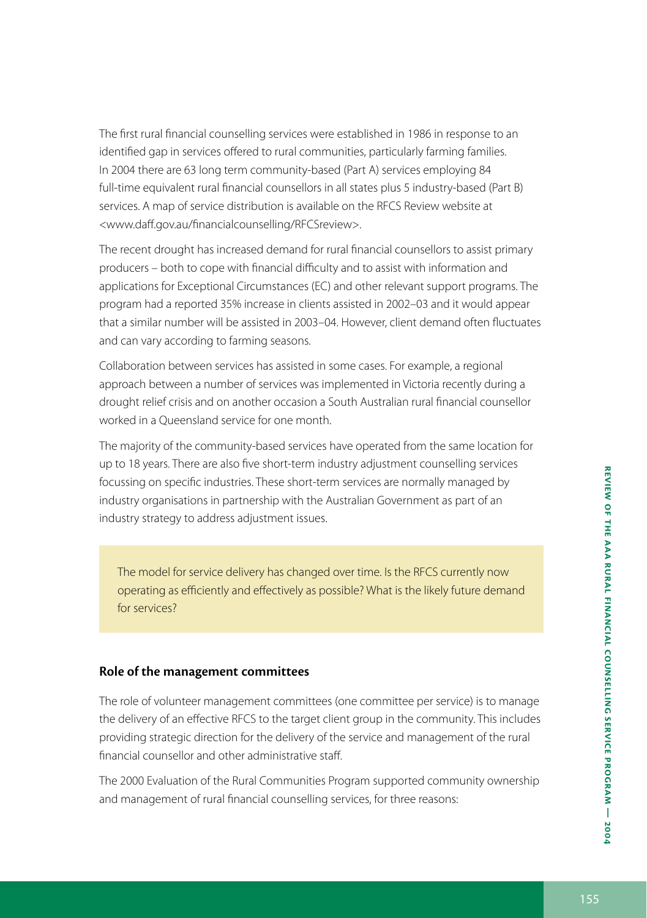The first rural financial counselling services were established in 1986 in response to an identified gap in services offered to rural communities, particularly farming families. In 2004 there are 63 long term community-based (Part A) services employing 84 full-time equivalent rural financial counsellors in all states plus 5 industry-based (Part B) services. A map of service distribution is available on the RFCS Review website at <www.daff.gov.au/financialcounselling/RFCSreview>.

The recent drought has increased demand for rural financial counsellors to assist primary producers – both to cope with financial difficulty and to assist with information and applications for Exceptional Circumstances (EC) and other relevant support programs. The program had a reported 35% increase in clients assisted in 2002–03 and it would appear that a similar number will be assisted in 2003–04. However, client demand often fluctuates and can vary according to farming seasons.

Collaboration between services has assisted in some cases. For example, a regional approach between a number of services was implemented in Victoria recently during a drought relief crisis and on another occasion a South Australian rural financial counsellor worked in a Queensland service for one month.

The majority of the community-based services have operated from the same location for up to 18 years. There are also five short-term industry adjustment counselling services focussing on specific industries. These short-term services are normally managed by industry organisations in partnership with the Australian Government as part of an industry strategy to address adjustment issues.

The model for service delivery has changed over time. Is the RFCS currently now operating as efficiently and effectively as possible? What is the likely future demand for services?

#### **Role of the management committees**

The role of volunteer management committees (one committee per service) is to manage the delivery of an effective RFCS to the target client group in the community. This includes providing strategic direction for the delivery of the service and management of the rural financial counsellor and other administrative staff.

The 2000 Evaluation of the Rural Communities Program supported community ownership and management of rural financial counselling services, for three reasons: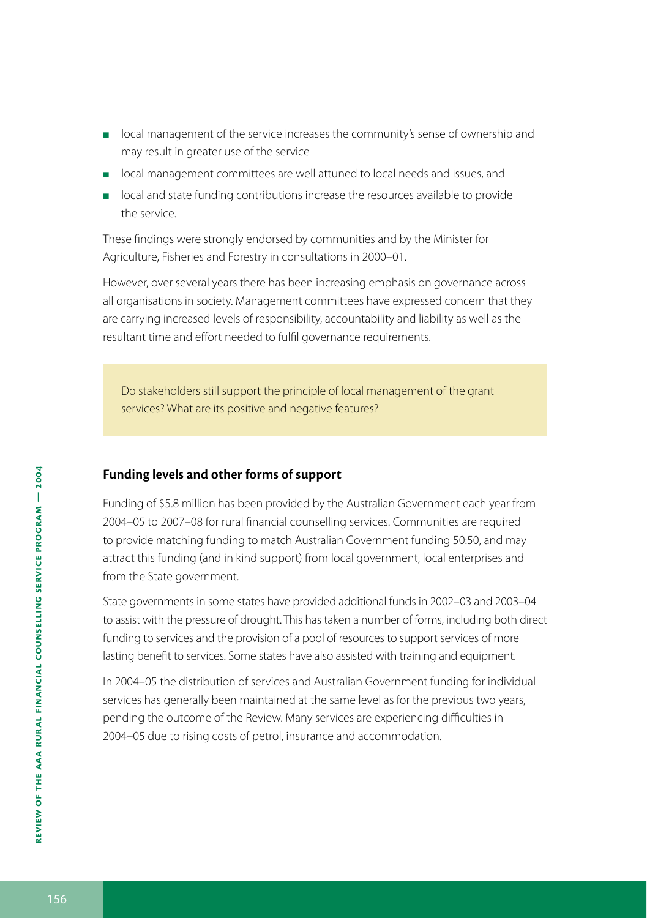- **DEM** local management of the service increases the community's sense of ownership and may result in greater use of the service
- **If** local management committees are well attuned to local needs and issues, and
- **DEM** local and state funding contributions increase the resources available to provide the service.

These findings were strongly endorsed by communities and by the Minister for Agriculture, Fisheries and Forestry in consultations in 2000–01.

However, over several years there has been increasing emphasis on governance across all organisations in society. Management committees have expressed concern that they are carrying increased levels of responsibility, accountability and liability as well as the resultant time and effort needed to fulfil governance requirements.

Do stakeholders still support the principle of local management of the grant services? What are its positive and negative features?

#### **Funding levels and other forms of support**

Funding of \$5.8 million has been provided by the Australian Government each year from 2004–05 to 2007–08 for rural financial counselling services. Communities are required to provide matching funding to match Australian Government funding 50:50, and may attract this funding (and in kind support) from local government, local enterprises and from the State government.

State governments in some states have provided additional funds in 2002–03 and 2003–04 to assist with the pressure of drought. This has taken a number of forms, including both direct funding to services and the provision of a pool of resources to support services of more lasting benefit to services. Some states have also assisted with training and equipment.

In 2004–05 the distribution of services and Australian Government funding for individual services has generally been maintained at the same level as for the previous two years, pending the outcome of the Review. Many services are experiencing difficulties in 2004–05 due to rising costs of petrol, insurance and accommodation.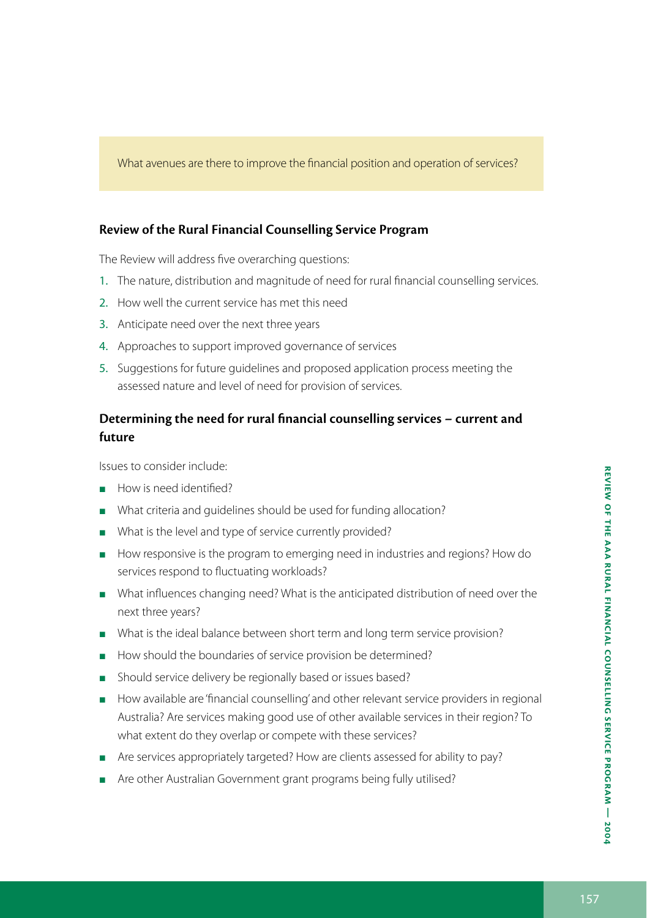What avenues are there to improve the financial position and operation of services?

#### **Review of the Rural Financial Counselling Service Program**

The Review will address five overarching questions:

- 1. The nature, distribution and magnitude of need for rural financial counselling services.
- 2. How well the current service has met this need
- 3. Anticipate need over the next three years
- 4. Approaches to support improved governance of services
- 5. Suggestions for future guidelines and proposed application process meeting the assessed nature and level of need for provision of services.

#### **Determining the need for rural financial counselling services – current and future**

Issues to consider include:

- How is need identified? L.
- What criteria and guidelines should be used for funding allocation? п
- What is the level and type of service currently provided? п
- How responsive is the program to emerging need in industries and regions? How do services respond to fluctuating workloads?
- What influences changing need? What is the anticipated distribution of need over the next three years?
- What is the ideal balance between short term and long term service provision?
- How should the boundaries of service provision be determined?
- **Should service delivery be regionally based or issues based?**
- **How available are 'financial counselling' and other relevant service providers in regional** Australia? Are services making good use of other available services in their region? To what extent do they overlap or compete with these services?
- **Are services appropriately targeted? How are clients assessed for ability to pay?**
- **Are other Australian Government grant programs being fully utilised?**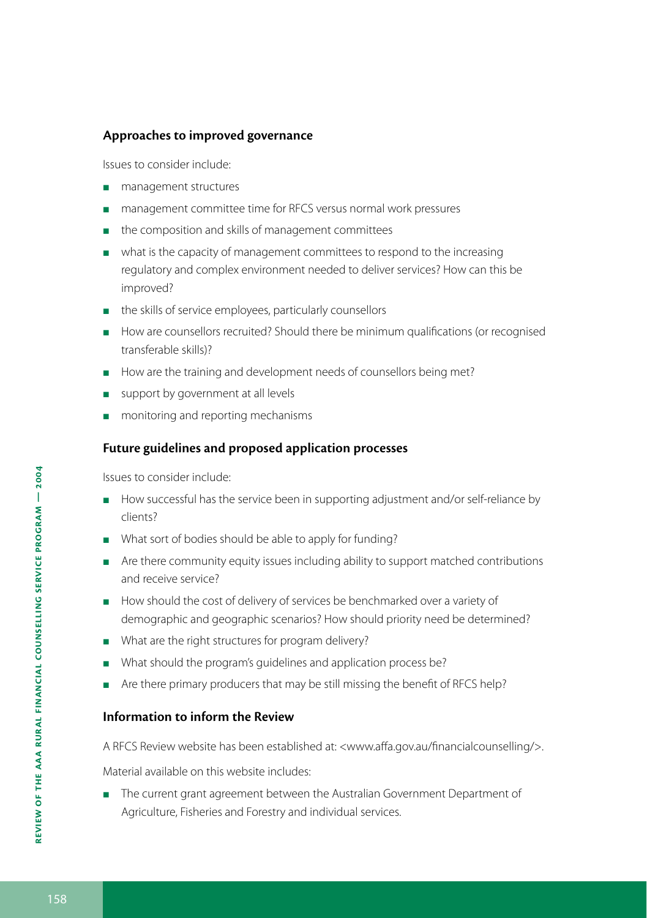#### **Approaches to improved governance**

Issues to consider include:

- **management structures**
- management committee time for RFCS versus normal work pressures
- **n** the composition and skills of management committees
- **Now that is the capacity of management committees to respond to the increasing** regulatory and complex environment needed to deliver services? How can this be improved?
- the skills of service employees, particularly counsellors
- **How are counsellors recruited? Should there be minimum qualifications (or recognised** transferable skills)?
- How are the training and development needs of counsellors being met?
- support by government at all levels
- **n** monitoring and reporting mechanisms

#### **Future guidelines and proposed application processes**

Issues to consider include:

- **H** How successful has the service been in supporting adjustment and/or self-reliance by clients?
- What sort of bodies should be able to apply for funding?
- **Are there community equity issues including ability to support matched contributions** and receive service?
- How should the cost of delivery of services be benchmarked over a variety of demographic and geographic scenarios? How should priority need be determined?
- What are the right structures for program delivery?
- What should the program's guidelines and application process be?
- Are there primary producers that may be still missing the benefit of RFCS help?

#### **Information to inform the Review**

A RFCS Review website has been established at: <www.affa.gov.au/financialcounselling/>.

Material available on this website includes:

The current grant agreement between the Australian Government Department of Agriculture, Fisheries and Forestry and individual services.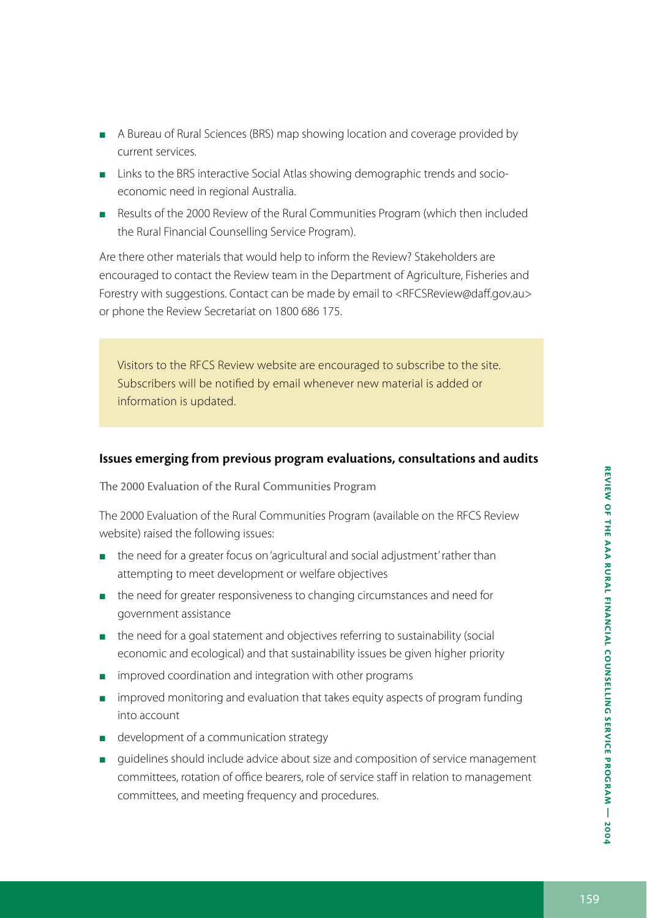- A Bureau of Rural Sciences (BRS) map showing location and coverage provided by current services.
- **Links to the BRS interactive Social Atlas showing demographic trends and socio**economic need in regional Australia.
- Results of the 2000 Review of the Rural Communities Program (which then included the Rural Financial Counselling Service Program).

Are there other materials that would help to inform the Review? Stakeholders are encouraged to contact the Review team in the Department of Agriculture, Fisheries and Forestry with suggestions. Contact can be made by email to <RFCSReview@daff.gov.au> or phone the Review Secretariat on 1800 686 175.

Visitors to the RFCS Review website are encouraged to subscribe to the site. Subscribers will be notified by email whenever new material is added or information is updated.

#### **Issues emerging from previous program evaluations, consultations and audits**

The 2000 Evaluation of the Rural Communities Program

The 2000 Evaluation of the Rural Communities Program (available on the RFCS Review website) raised the following issues:

- the need for a greater focus on 'agricultural and social adjustment' rather than attempting to meet development or welfare objectives
- the need for greater responsiveness to changing circumstances and need for government assistance
- the need for a goal statement and objectives referring to sustainability (social economic and ecological) and that sustainability issues be given higher priority
- **n** improved coordination and integration with other programs
- **n** improved monitoring and evaluation that takes equity aspects of program funding into account
- **development of a communication strategy**
- guidelines should include advice about size and composition of service management committees, rotation of office bearers, role of service staff in relation to management committees, and meeting frequency and procedures.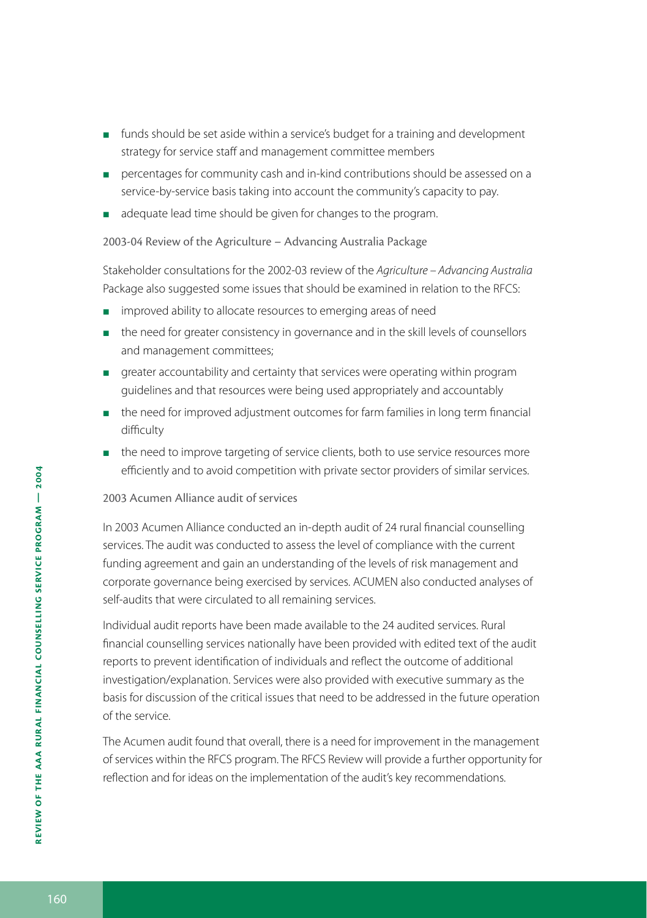- funds should be set aside within a service's budget for a training and development strategy for service staff and management committee members Е
- **Percentages for community cash and in-kind contributions should be assessed on a** service-by-service basis taking into account the community's capacity to pay.
- adequate lead time should be given for changes to the program.

2003-04 Review of the Agriculture – Advancing Australia Package

Stakeholder consultations for the 2002-03 review of the *Agriculture – Advancing Australia* Package also suggested some issues that should be examined in relation to the RFCS:

- **n** improved ability to allocate resources to emerging areas of need
- **the need for greater consistency in governance and in the skill levels of counsellors** and management committees;
- greater accountability and certainty that services were operating within program guidelines and that resources were being used appropriately and accountably
- **the need for improved adjustment outcomes for farm families in long term financial** difficulty
- **the need to improve targeting of service clients, both to use service resources more** efficiently and to avoid competition with private sector providers of similar services.

#### 2003 Acumen Alliance audit of services

In 2003 Acumen Alliance conducted an in-depth audit of 24 rural financial counselling services. The audit was conducted to assess the level of compliance with the current funding agreement and gain an understanding of the levels of risk management and corporate governance being exercised by services. ACUMEN also conducted analyses of self-audits that were circulated to all remaining services.

Individual audit reports have been made available to the 24 audited services. Rural financial counselling services nationally have been provided with edited text of the audit reports to prevent identification of individuals and reflect the outcome of additional investigation/explanation. Services were also provided with executive summary as the basis for discussion of the critical issues that need to be addressed in the future operation of the service.

The Acumen audit found that overall, there is a need for improvement in the management of services within the RFCS program. The RFCS Review will provide a further opportunity for reflection and for ideas on the implementation of the audit's key recommendations.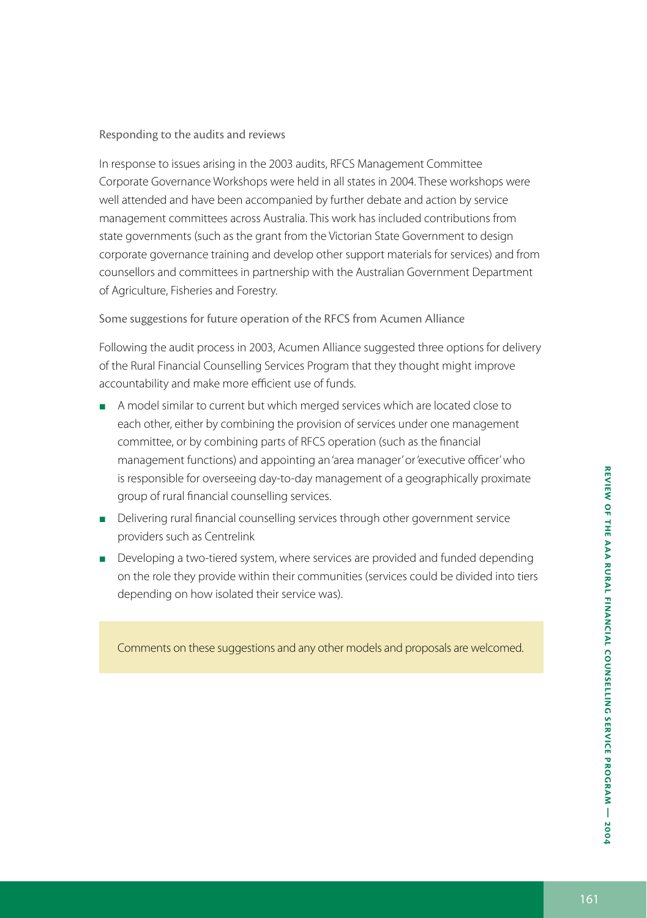#### Responding to the audits and reviews

In response to issues arising in the 2003 audits, RFCS Management Committee Corporate Governance Workshops were held in all states in 2004. These workshops were well attended and have been accompanied by further debate and action by service management committees across Australia. This work has included contributions from state governments (such as the grant from the Victorian State Government to design corporate governance training and develop other support materials for services) and from counsellors and committees in partnership with the Australian Government Department of Agriculture, Fisheries and Forestry.

Some suggestions for future operation of the RFCS from Acumen Alliance

Following the audit process in 2003, Acumen Alliance suggested three options for delivery of the Rural Financial Counselling Services Program that they thought might improve accountability and make more efficient use of funds.

- A model similar to current but which merged services which are located close to each other, either by combining the provision of services under one management committee, or by combining parts of RFCS operation (such as the financial management functions) and appointing an 'area manager' or 'executive officer' who is responsible for overseeing day-to-day management of a geographically proximate group of rural financial counselling services.
- Delivering rural financial counselling services through other government service providers such as Centrelink
- **Developing a two-tiered system, where services are provided and funded depending** on the role they provide within their communities (services could be divided into tiers depending on how isolated their service was).

Comments on these suggestions and any other models and proposals are welcomed.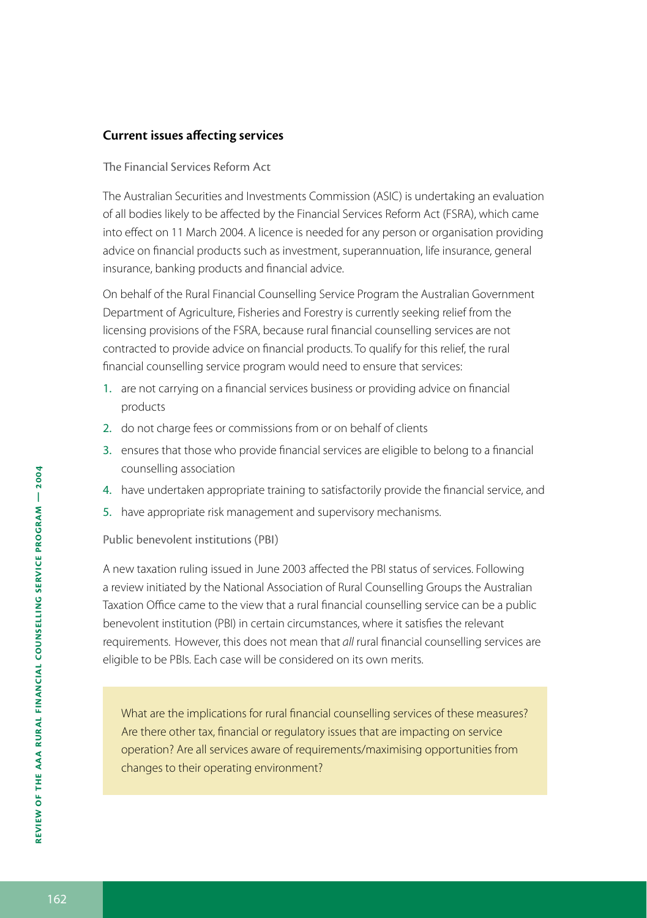#### **Current issues affecting services**

#### The Financial Services Reform Act

The Australian Securities and Investments Commission (ASIC) is undertaking an evaluation of all bodies likely to be affected by the Financial Services Reform Act (FSRA), which came into effect on 11 March 2004. A licence is needed for any person or organisation providing advice on financial products such as investment, superannuation, life insurance, general insurance, banking products and financial advice.

On behalf of the Rural Financial Counselling Service Program the Australian Government Department of Agriculture, Fisheries and Forestry is currently seeking relief from the licensing provisions of the FSRA, because rural financial counselling services are not contracted to provide advice on financial products. To qualify for this relief, the rural financial counselling service program would need to ensure that services:

- 1. are not carrying on a financial services business or providing advice on financial products
- 2. do not charge fees or commissions from or on behalf of clients
- 3. ensures that those who provide financial services are eligible to belong to a financial counselling association
- 4. have undertaken appropriate training to satisfactorily provide the financial service, and
- 5. have appropriate risk management and supervisory mechanisms.

#### Public benevolent institutions (PBI)

A new taxation ruling issued in June 2003 affected the PBI status of services. Following a review initiated by the National Association of Rural Counselling Groups the Australian Taxation Office came to the view that a rural financial counselling service can be a public benevolent institution (PBI) in certain circumstances, where it satisfies the relevant requirements. However, this does not mean that *all* rural financial counselling services are eligible to be PBIs. Each case will be considered on its own merits.

What are the implications for rural financial counselling services of these measures? Are there other tax, financial or regulatory issues that are impacting on service operation? Are all services aware of requirements/maximising opportunities from changes to their operating environment?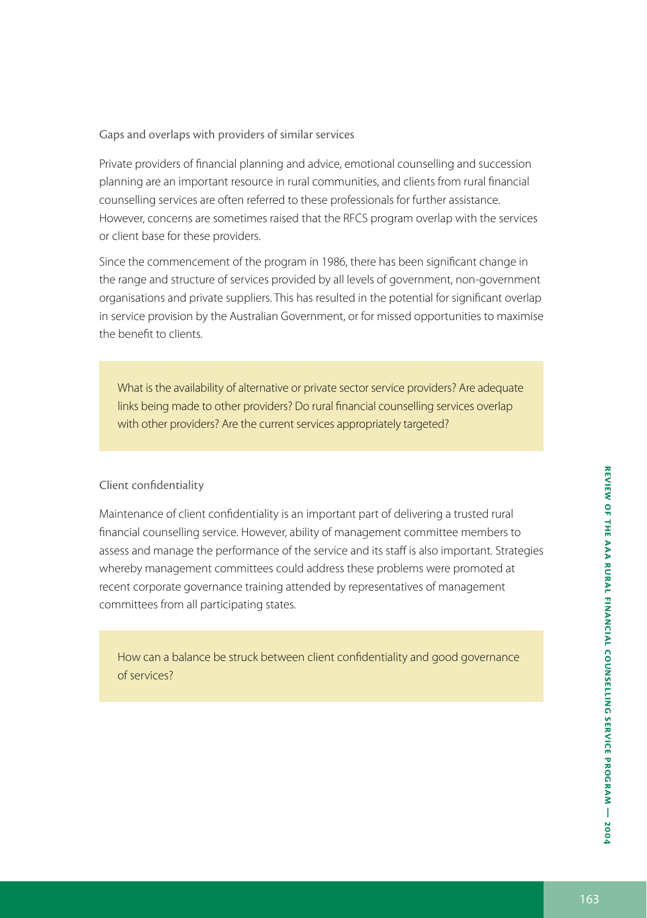Private providers of financial planning and advice, emotional counselling and succession planning are an important resource in rural communities, and clients from rural financial counselling services are often referred to these professionals for further assistance. However, concerns are sometimes raised that the RFCS program overlap with the services or client base for these providers.

Since the commencement of the program in 1986, there has been significant change in the range and structure of services provided by all levels of government, non-government organisations and private suppliers. This has resulted in the potential for significant overlap in service provision by the Australian Government, or for missed opportunities to maximise the benefit to clients.

What is the availability of alternative or private sector service providers? Are adequate links being made to other providers? Do rural financial counselling services overlap with other providers? Are the current services appropriately targeted?

#### Client confidentiality

Maintenance of client confidentiality is an important part of delivering a trusted rural financial counselling service. However, ability of management committee members to assess and manage the performance of the service and its staff is also important. Strategies whereby management committees could address these problems were promoted at recent corporate governance training attended by representatives of management committees from all participating states.

How can a balance be struck between client confidentiality and good governance of services?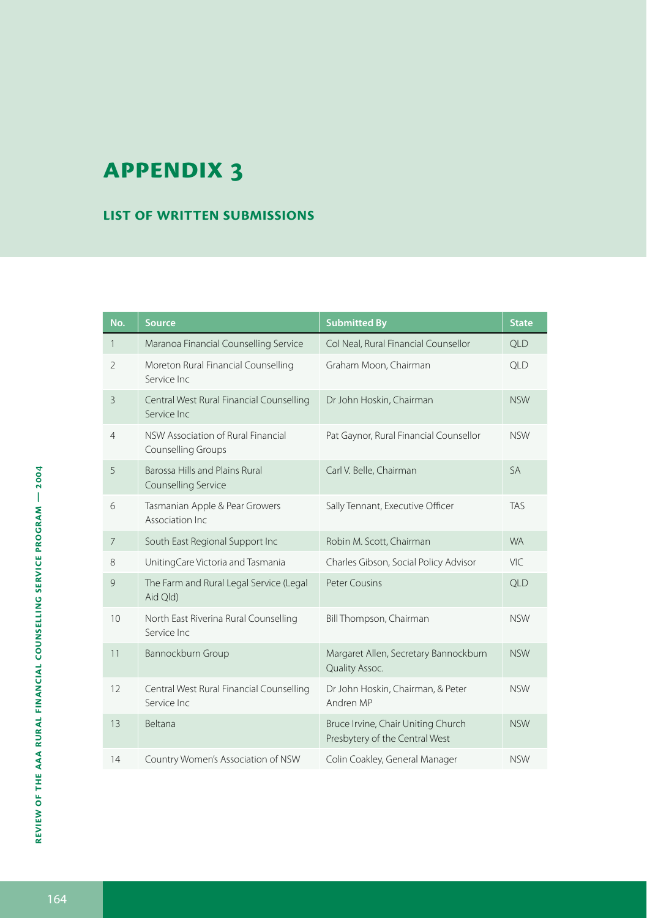#### **List of written submissions**

| No.            | <b>Source</b>                                                   | <b>Submitted By</b>                                                  | <b>State</b> |
|----------------|-----------------------------------------------------------------|----------------------------------------------------------------------|--------------|
| $\mathbf{1}$   | Maranoa Financial Counselling Service                           | Col Neal, Rural Financial Counsellor                                 | <b>QLD</b>   |
| $\mathfrak{D}$ | Moreton Rural Financial Counselling<br>Service Inc.             | Graham Moon, Chairman                                                | <b>QLD</b>   |
| $\overline{3}$ | Central West Rural Financial Counselling<br>Service Inc.        | Dr John Hoskin, Chairman                                             | <b>NSW</b>   |
| 4              | NSW Association of Rural Financial<br><b>Counselling Groups</b> | Pat Gaynor, Rural Financial Counsellor                               | <b>NSW</b>   |
| 5              | Barossa Hills and Plains Rural<br>Counselling Service           | Carl V. Belle, Chairman                                              | <b>SA</b>    |
| 6              | Tasmanian Apple & Pear Growers<br>Association Inc               | Sally Tennant, Executive Officer                                     | <b>TAS</b>   |
| 7              | South East Regional Support Inc                                 | Robin M. Scott, Chairman                                             | <b>WA</b>    |
| 8              | UnitingCare Victoria and Tasmania                               | Charles Gibson, Social Policy Advisor                                | VIC.         |
| 9              | The Farm and Rural Legal Service (Legal<br>Aid Qld)             | <b>Peter Cousins</b>                                                 | QLD          |
| 10             | North East Riverina Rural Counselling<br>Service Inc.           | Bill Thompson, Chairman                                              | <b>NSW</b>   |
| 11             | Bannockburn Group                                               | Margaret Allen, Secretary Bannockburn<br>Quality Assoc.              | <b>NSW</b>   |
| 12             | Central West Rural Financial Counselling<br>Service Inc.        | Dr John Hoskin, Chairman, & Peter<br>Andren MP                       | <b>NSW</b>   |
| 13             | Beltana                                                         | Bruce Irvine, Chair Uniting Church<br>Presbytery of the Central West | <b>NSW</b>   |
| 14             | Country Women's Association of NSW                              | Colin Coakley, General Manager                                       | <b>NSW</b>   |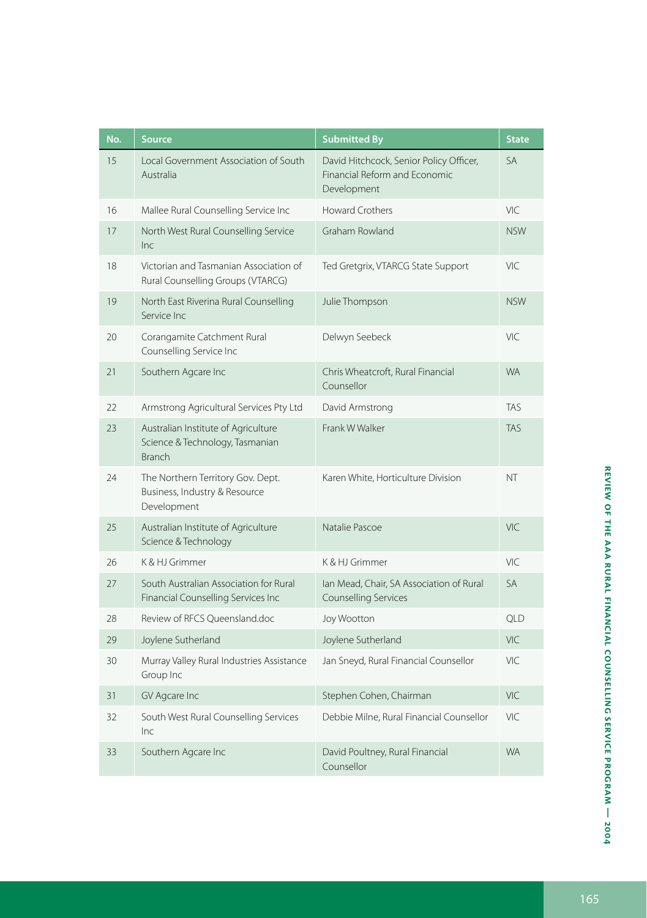| No. | <b>Source</b>                                                                           | <b>Submitted By</b>                                                                     | <b>State</b> |
|-----|-----------------------------------------------------------------------------------------|-----------------------------------------------------------------------------------------|--------------|
| 15  | Local Government Association of South<br>Australia                                      | David Hitchcock, Senior Policy Officer,<br>Financial Reform and Economic<br>Development | <b>SA</b>    |
| 16  | Mallee Rural Counselling Service Inc                                                    | <b>Howard Crothers</b>                                                                  | VIC          |
| 17  | North West Rural Counselling Service<br>Inc                                             | Graham Rowland                                                                          | <b>NSW</b>   |
| 18  | Victorian and Tasmanian Association of<br>Rural Counselling Groups (VTARCG)             | Ted Gretgrix, VTARCG State Support                                                      | VIC          |
| 19  | North East Riverina Rural Counselling<br>Service Inc                                    | Julie Thompson                                                                          | <b>NSW</b>   |
| 20  | Corangamite Catchment Rural<br>Counselling Service Inc                                  | Delwyn Seebeck                                                                          | VIC.         |
| 21  | Southern Agcare Inc                                                                     | Chris Wheatcroft, Rural Financial<br>Counsellor                                         | <b>WA</b>    |
| 22  | Armstrong Agricultural Services Pty Ltd                                                 | David Armstrong                                                                         | <b>TAS</b>   |
| 23  | Australian Institute of Agriculture<br>Science & Technology, Tasmanian<br><b>Branch</b> | Frank W Walker                                                                          | <b>TAS</b>   |
| 24  | The Northern Territory Gov. Dept.<br>Business, Industry & Resource<br>Development       | Karen White, Horticulture Division                                                      | NT           |
| 25  | Australian Institute of Agriculture<br>Science & Technology                             | Natalie Pascoe                                                                          | VIC          |
| 26  | K & HJ Grimmer                                                                          | K & HJ Grimmer                                                                          | VIC          |
| 27  | South Australian Association for Rural<br>Financial Counselling Services Inc            | lan Mead, Chair, SA Association of Rural<br>Counselling Services                        | <b>SA</b>    |
| 28  | Review of RFCS Queensland.doc                                                           | Joy Wootton                                                                             | <b>QLD</b>   |
| 29  | Joylene Sutherland                                                                      | Joylene Sutherland                                                                      | VIC.         |
| 30  | Murray Valley Rural Industries Assistance<br>Group Inc                                  | Jan Sneyd, Rural Financial Counsellor                                                   | VIC.         |
| 31  | GV Agcare Inc                                                                           | Stephen Cohen, Chairman                                                                 | VIC          |
| 32  | South West Rural Counselling Services<br>Inc                                            | Debbie Milne, Rural Financial Counsellor                                                | VIC.         |
| 33  | Southern Agcare Inc                                                                     | David Poultney, Rural Financial<br>Counsellor                                           | <b>WA</b>    |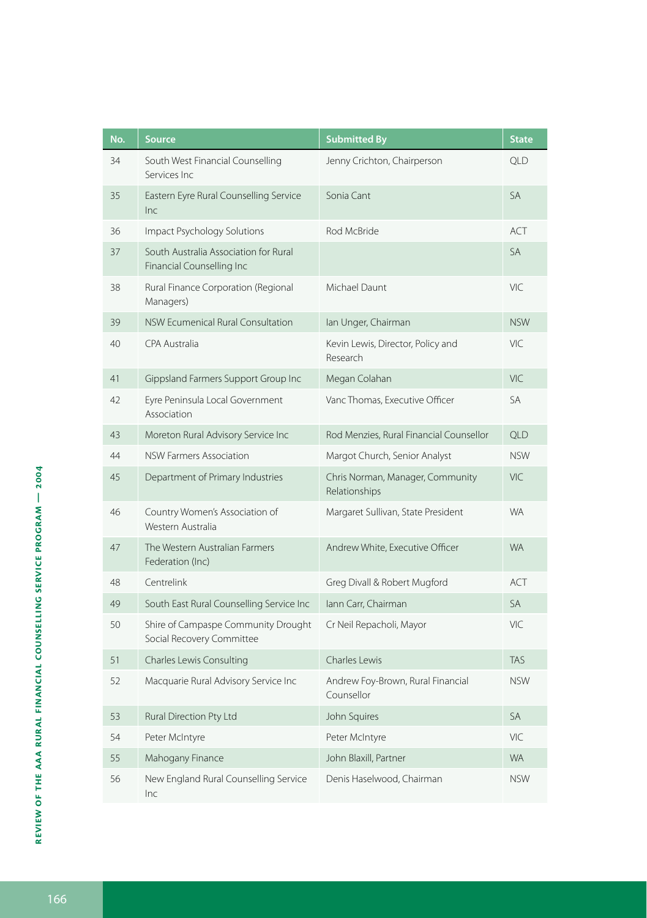| No. | <b>Source</b>                                                      | <b>Submitted By</b>                               | <b>State</b> |
|-----|--------------------------------------------------------------------|---------------------------------------------------|--------------|
| 34  | South West Financial Counselling<br>Services Inc                   | Jenny Crichton, Chairperson                       | <b>QLD</b>   |
| 35  | Eastern Eyre Rural Counselling Service<br>Inc                      | Sonia Cant                                        | <b>SA</b>    |
| 36  | Impact Psychology Solutions                                        | Rod McBride                                       | ACT          |
| 37  | South Australia Association for Rural<br>Financial Counselling Inc |                                                   | <b>SA</b>    |
| 38  | Rural Finance Corporation (Regional<br>Managers)                   | Michael Daunt                                     | VIC          |
| 39  | NSW Ecumenical Rural Consultation                                  | lan Unger, Chairman                               | <b>NSW</b>   |
| 40  | CPA Australia                                                      | Kevin Lewis, Director, Policy and<br>Research     | VIC.         |
| 41  | Gippsland Farmers Support Group Inc                                | Megan Colahan                                     | VIC          |
| 42  | Eyre Peninsula Local Government<br>Association                     | Vanc Thomas, Executive Officer                    | <b>SA</b>    |
| 43  | Moreton Rural Advisory Service Inc                                 | Rod Menzies, Rural Financial Counsellor           | <b>QLD</b>   |
| 44  | <b>NSW Farmers Association</b>                                     | Margot Church, Senior Analyst                     | <b>NSW</b>   |
| 45  | Department of Primary Industries                                   | Chris Norman, Manager, Community<br>Relationships | <b>VIC</b>   |
| 46  | Country Women's Association of<br>Western Australia                | Margaret Sullivan, State President                | <b>WA</b>    |
| 47  | The Western Australian Farmers<br>Federation (Inc)                 | Andrew White, Executive Officer                   | <b>WA</b>    |
| 48  | Centrelink                                                         | Greg Divall & Robert Mugford                      | <b>ACT</b>   |
| 49  | South East Rural Counselling Service Inc                           | lann Carr, Chairman                               | <b>SA</b>    |
| 50  | Shire of Campaspe Community Drought<br>Social Recovery Committee   | Cr Neil Repacholi, Mayor                          | VIC.         |
| 51  | Charles Lewis Consulting                                           | Charles Lewis                                     | <b>TAS</b>   |
| 52  | Macquarie Rural Advisory Service Inc                               | Andrew Foy-Brown, Rural Financial<br>Counsellor   | <b>NSW</b>   |
| 53  | Rural Direction Pty Ltd                                            | John Squires                                      | <b>SA</b>    |
| 54  | Peter McIntyre                                                     | Peter McIntyre                                    | VIC          |
| 55  | Mahogany Finance                                                   | John Blaxill, Partner                             | <b>WA</b>    |
| 56  | New England Rural Counselling Service<br>Inc                       | Denis Haselwood, Chairman                         | <b>NSW</b>   |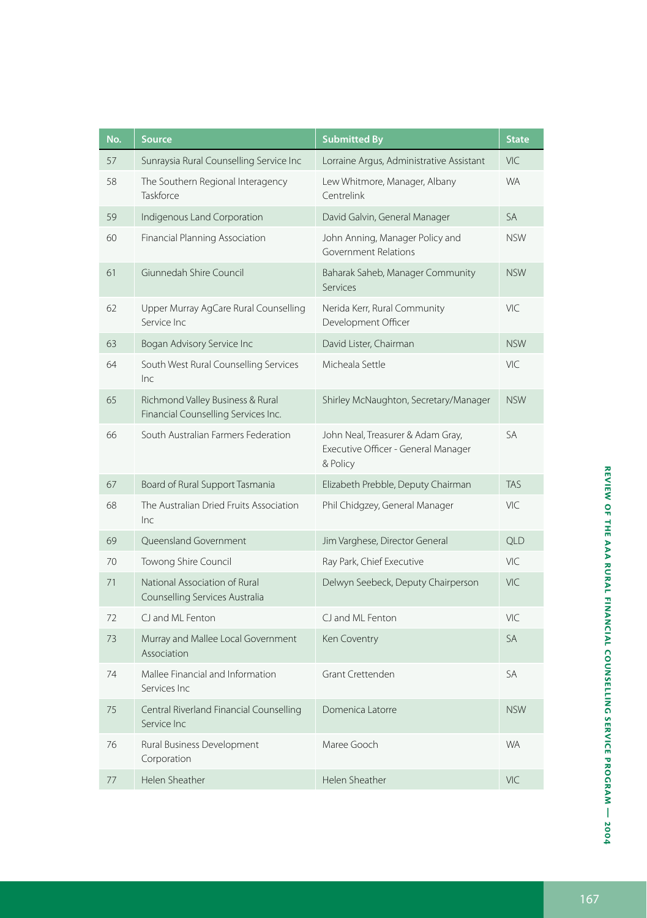| No. | <b>Source</b>                                                           | <b>Submitted By</b>                                                                  | <b>State</b> |
|-----|-------------------------------------------------------------------------|--------------------------------------------------------------------------------------|--------------|
| 57  | Sunraysia Rural Counselling Service Inc                                 | Lorraine Argus, Administrative Assistant                                             | <b>VIC</b>   |
| 58  | The Southern Regional Interagency<br>Taskforce                          | Lew Whitmore, Manager, Albany<br>Centrelink                                          | <b>WA</b>    |
| 59  | Indigenous Land Corporation                                             | David Galvin, General Manager                                                        | <b>SA</b>    |
| 60  | Financial Planning Association                                          | John Anning, Manager Policy and<br>Government Relations                              | <b>NSW</b>   |
| 61  | Giunnedah Shire Council                                                 | Baharak Saheb, Manager Community<br><b>Services</b>                                  | <b>NSW</b>   |
| 62  | Upper Murray AgCare Rural Counselling<br>Service Inc                    | Nerida Kerr, Rural Community<br>Development Officer                                  | VIC          |
| 63  | Bogan Advisory Service Inc                                              | David Lister, Chairman                                                               | <b>NSW</b>   |
| 64  | South West Rural Counselling Services<br>Inc                            | Micheala Settle                                                                      | VIC.         |
| 65  | Richmond Valley Business & Rural<br>Financial Counselling Services Inc. | Shirley McNaughton, Secretary/Manager                                                | <b>NSW</b>   |
| 66  | South Australian Farmers Federation                                     | John Neal, Treasurer & Adam Gray,<br>Executive Officer - General Manager<br>& Policy | <b>SA</b>    |
| 67  | Board of Rural Support Tasmania                                         | Elizabeth Prebble, Deputy Chairman                                                   | <b>TAS</b>   |
| 68  | The Australian Dried Fruits Association<br>Inc                          | Phil Chidgzey, General Manager                                                       | VIC          |
| 69  | Oueensland Government                                                   | Jim Varghese, Director General                                                       | <b>OLD</b>   |
| 70  | Towong Shire Council                                                    | Ray Park, Chief Executive                                                            | VIC.         |
| 71  | National Association of Rural<br>Counselling Services Australia         | Delwyn Seebeck, Deputy Chairperson                                                   | VIC          |
| 72  | CJ and ML Fenton                                                        | CJ and ML Fenton                                                                     | VIC          |
| 73  | Murray and Mallee Local Government<br>Association                       | Ken Coventry                                                                         | <b>SA</b>    |
| 74  | Mallee Financial and Information<br>Services Inc                        | Grant Crettenden                                                                     | <b>SA</b>    |
| 75  | Central Riverland Financial Counselling<br>Service Inc                  | Domenica Latorre                                                                     | <b>NSW</b>   |
| 76  | Rural Business Development<br>Corporation                               | Maree Gooch                                                                          | <b>WA</b>    |
| 77  | Helen Sheather                                                          | Helen Sheather                                                                       | VIC          |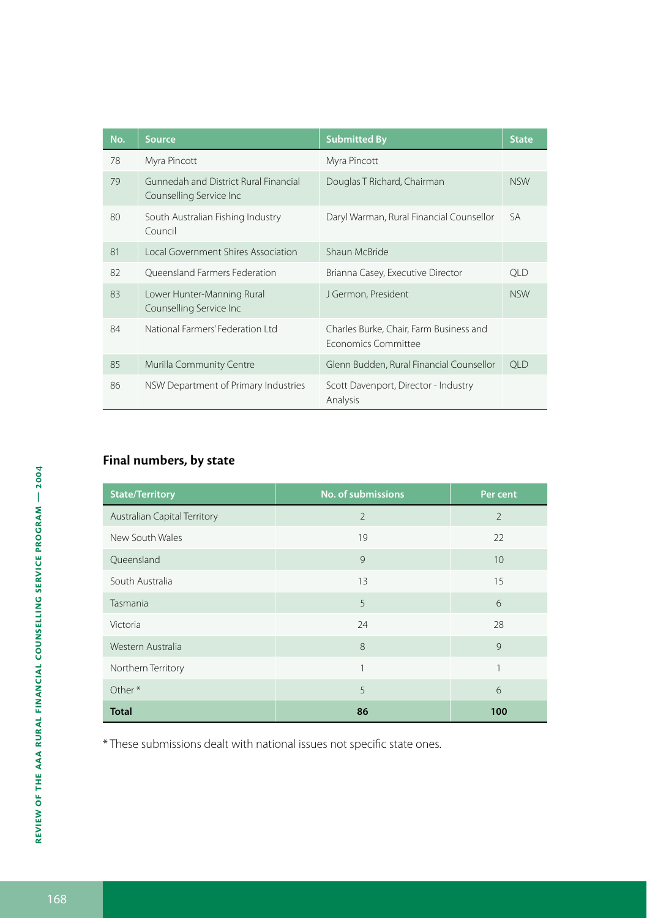| No. | <b>Source</b>                                                    | <b>Submitted By</b>                                                   | <b>State</b> |
|-----|------------------------------------------------------------------|-----------------------------------------------------------------------|--------------|
| 78  | Myra Pincott                                                     | Myra Pincott                                                          |              |
| 79  | Gunnedah and District Rural Financial<br>Counselling Service Inc | Douglas T Richard, Chairman                                           | <b>NSW</b>   |
| 80  | South Australian Fishing Industry<br>Council                     | Daryl Warman, Rural Financial Counsellor                              | SA           |
| 81  | Local Government Shires Association                              | Shaun McBride                                                         |              |
| 82  | Oueensland Farmers Federation                                    | Brianna Casey, Executive Director                                     | <b>OLD</b>   |
| 83  | Lower Hunter-Manning Rural<br>Counselling Service Inc            | J Germon, President                                                   | <b>NSW</b>   |
| 84  | National Farmers' Federation Ltd                                 | Charles Burke, Chair, Farm Business and<br><b>Fronomics Committee</b> |              |
| 85  | Murilla Community Centre                                         | Glenn Budden, Rural Financial Counsellor                              | <b>QLD</b>   |
| 86  | NSW Department of Primary Industries                             | Scott Davenport, Director - Industry<br>Analysis                      |              |

### **Final numbers, by state**

| <b>State/Territory</b>       | No. of submissions | Per cent       |
|------------------------------|--------------------|----------------|
| Australian Capital Territory | $\overline{2}$     | $\overline{2}$ |
| New South Wales              | 19                 | 22             |
| Queensland                   | 9                  | 10             |
| South Australia              | 13                 | 15             |
| Tasmania                     | 5                  | 6              |
| Victoria                     | 24                 | 28             |
| Western Australia            | 8                  | 9              |
| Northern Territory           | 1                  | 1              |
| Other*                       | 5                  | 6              |
| <b>Total</b>                 | 86                 | 100            |

\* These submissions dealt with national issues not specific state ones.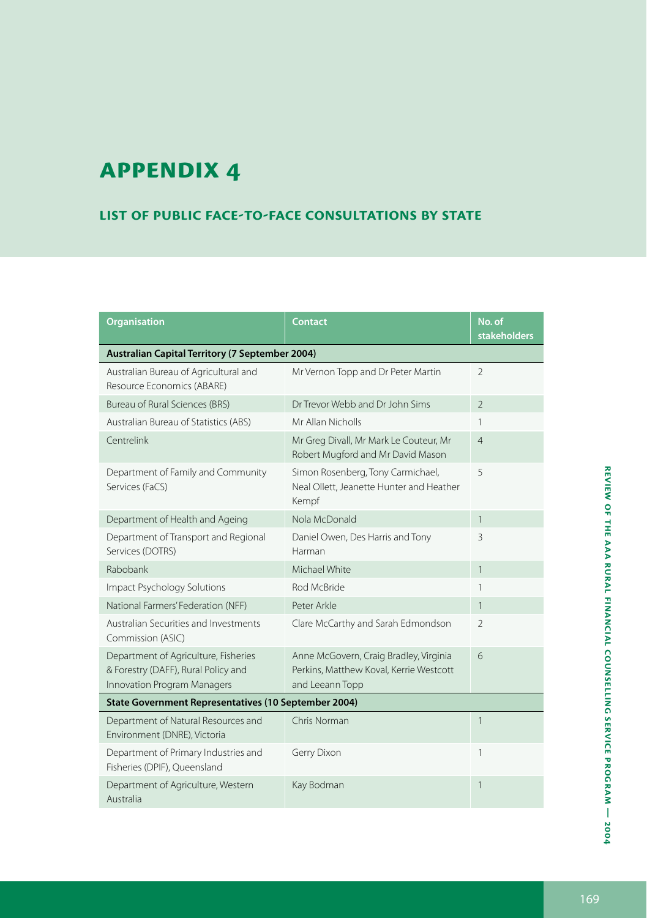#### **List of public face-to-face consultations by state**

| <b>Organisation</b>                                                                                        | Contact                                                                                              | No. of<br><b>stakeholders</b> |  |
|------------------------------------------------------------------------------------------------------------|------------------------------------------------------------------------------------------------------|-------------------------------|--|
| Australian Capital Territory (7 September 2004)                                                            |                                                                                                      |                               |  |
| Australian Bureau of Agricultural and<br>Resource Economics (ABARE)                                        | Mr Vernon Topp and Dr Peter Martin                                                                   | $\overline{2}$                |  |
| <b>Bureau of Rural Sciences (BRS)</b>                                                                      | Dr Trevor Webb and Dr John Sims                                                                      | $\overline{\phantom{a}}$      |  |
| Australian Bureau of Statistics (ABS)                                                                      | Mr Allan Nicholls                                                                                    | 1                             |  |
| Centrelink                                                                                                 | Mr Greg Divall, Mr Mark Le Couteur, Mr<br>Robert Mugford and Mr David Mason                          | $\overline{4}$                |  |
| Department of Family and Community<br>Services (FaCS)                                                      | Simon Rosenberg, Tony Carmichael,<br>Neal Ollett, Jeanette Hunter and Heather<br>Kempf               | 5                             |  |
| Department of Health and Ageing                                                                            | Nola McDonald                                                                                        | $\mathbf{1}$                  |  |
| Department of Transport and Regional<br>Services (DOTRS)                                                   | Daniel Owen, Des Harris and Tony<br>Harman                                                           | 3                             |  |
| Rabobank                                                                                                   | Michael White                                                                                        | $\mathbf{1}$                  |  |
| Impact Psychology Solutions                                                                                | Rod McBride                                                                                          | 1                             |  |
| National Farmers' Federation (NFF)                                                                         | Peter Arkle                                                                                          | $\mathbf{1}$                  |  |
| Australian Securities and Investments<br>Commission (ASIC)                                                 | Clare McCarthy and Sarah Edmondson                                                                   | $\overline{2}$                |  |
| Department of Agriculture, Fisheries<br>& Forestry (DAFF), Rural Policy and<br>Innovation Program Managers | Anne McGovern, Craig Bradley, Virginia<br>Perkins, Matthew Koval, Kerrie Westcott<br>and Leeann Topp | 6                             |  |
| State Government Representatives (10 September 2004)                                                       |                                                                                                      |                               |  |
| Department of Natural Resources and<br>Environment (DNRE), Victoria                                        | Chris Norman                                                                                         | 1                             |  |
| Department of Primary Industries and<br>Fisheries (DPIF), Queensland                                       | Gerry Dixon                                                                                          | 1                             |  |
| Department of Agriculture, Western<br>Australia                                                            | Kay Bodman                                                                                           | 1                             |  |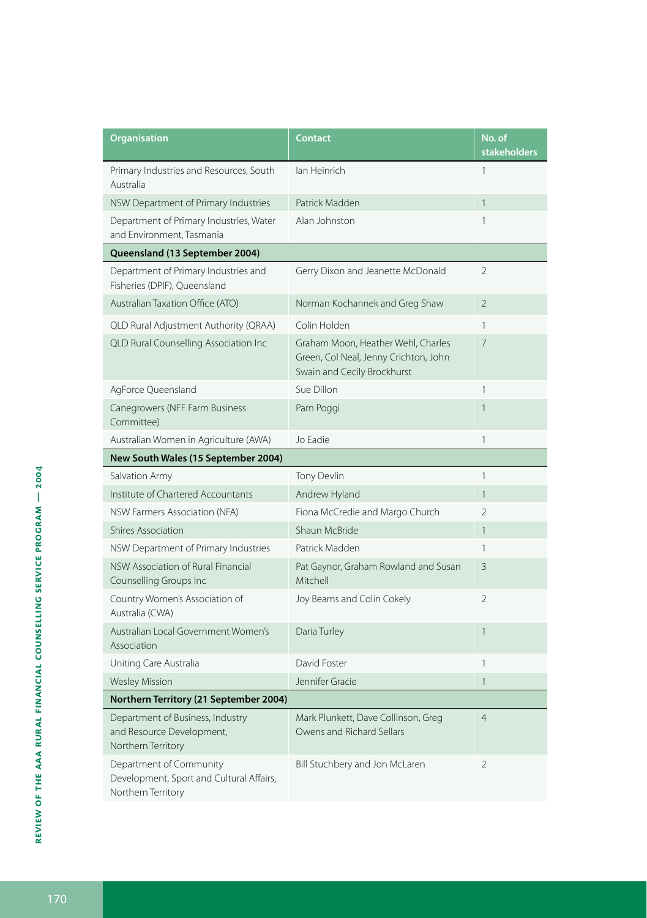| <b>Organisation</b>                                                                       | <b>Contact</b>                                                                                             | No. of<br><b>stakeholders</b> |
|-------------------------------------------------------------------------------------------|------------------------------------------------------------------------------------------------------------|-------------------------------|
| Primary Industries and Resources, South<br>Australia                                      | lan Heinrich                                                                                               | $\mathbf{1}$                  |
| NSW Department of Primary Industries                                                      | Patrick Madden                                                                                             | $\mathbf{1}$                  |
| Department of Primary Industries, Water<br>and Environment, Tasmania                      | Alan Johnston                                                                                              | $\mathbf{1}$                  |
| Queensland (13 September 2004)                                                            |                                                                                                            |                               |
| Department of Primary Industries and<br>Fisheries (DPIF), Queensland                      | Gerry Dixon and Jeanette McDonald                                                                          | 2                             |
| Australian Taxation Office (ATO)                                                          | Norman Kochannek and Greg Shaw                                                                             | $\overline{2}$                |
| QLD Rural Adjustment Authority (QRAA)                                                     | Colin Holden                                                                                               | 1                             |
| <b>QLD Rural Counselling Association Inc</b>                                              | Graham Moon, Heather Wehl, Charles<br>Green, Col Neal, Jenny Crichton, John<br>Swain and Cecily Brockhurst | 7                             |
| AgForce Queensland                                                                        | Sue Dillon                                                                                                 | 1                             |
| Canegrowers (NFF Farm Business<br>Committee)                                              | Pam Poggi                                                                                                  | $\mathbf{1}$                  |
| Australian Women in Agriculture (AWA)                                                     | Jo Eadie                                                                                                   | $\mathbf{1}$                  |
| New South Wales (15 September 2004)                                                       |                                                                                                            |                               |
| Salvation Army                                                                            | Tony Devlin                                                                                                | 1                             |
| Institute of Chartered Accountants                                                        | Andrew Hyland                                                                                              | $\mathbf{1}$                  |
| NSW Farmers Association (NFA)                                                             | Fiona McCredie and Margo Church                                                                            | $\overline{2}$                |
| <b>Shires Association</b>                                                                 | Shaun McBride                                                                                              | $\mathbf{1}$                  |
| NSW Department of Primary Industries                                                      | Patrick Madden                                                                                             | 1                             |
| NSW Association of Rural Financial<br>Counselling Groups Inc                              | Pat Gaynor, Graham Rowland and Susan<br>Mitchell                                                           | 3                             |
| Country Women's Association of<br>Australia (CWA)                                         | Joy Beams and Colin Cokely                                                                                 | $\overline{2}$                |
| Australian Local Government Women's<br>Association                                        | Daria Turley                                                                                               | $\mathbf{1}$                  |
| Uniting Care Australia                                                                    | David Foster                                                                                               | $\mathbf{1}$                  |
| <b>Wesley Mission</b>                                                                     | Jennifer Gracie                                                                                            | $\mathbf{1}$                  |
| Northern Territory (21 September 2004)                                                    |                                                                                                            |                               |
| Department of Business, Industry<br>and Resource Development,<br>Northern Territory       | Mark Plunkett, Dave Collinson, Greg<br>Owens and Richard Sellars                                           | $\overline{4}$                |
| Department of Community<br>Development, Sport and Cultural Affairs,<br>Northern Territory | Bill Stuchbery and Jon McLaren                                                                             | 2                             |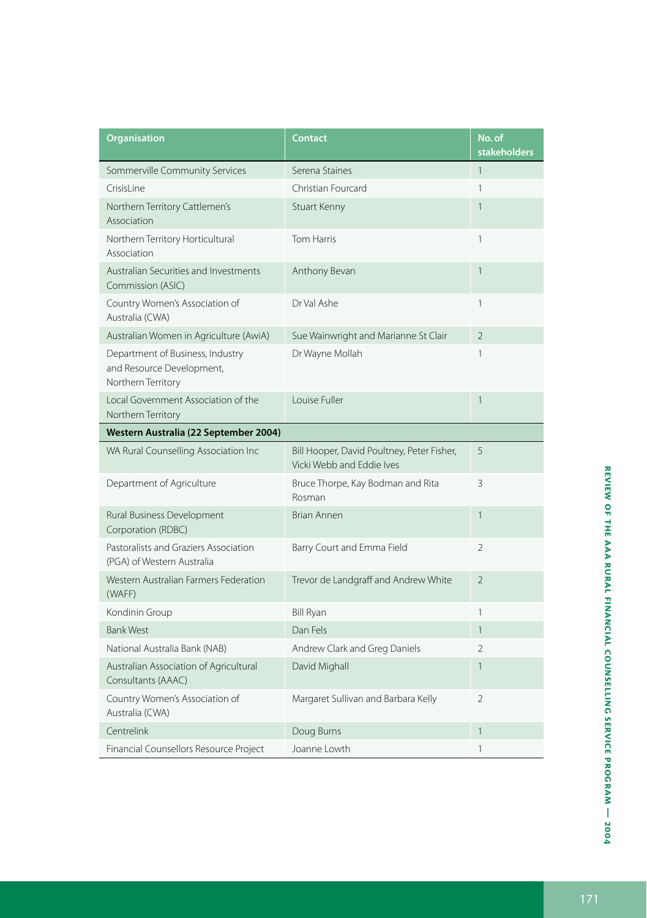| <b>Organisation</b>                                                                 | <b>Contact</b>                                                          | No. of<br><b>stakeholders</b> |
|-------------------------------------------------------------------------------------|-------------------------------------------------------------------------|-------------------------------|
| Sommerville Community Services                                                      | Serena Staines                                                          | $\mathbf{1}$                  |
| CrisisLine                                                                          | Christian Fourcard                                                      | 1                             |
| Northern Territory Cattlemen's<br>Association                                       | Stuart Kenny                                                            | 1                             |
| Northern Territory Horticultural<br>Association                                     | Tom Harris                                                              | 1                             |
| Australian Securities and Investments<br>Commission (ASIC)                          | Anthony Bevan                                                           | 1                             |
| Country Women's Association of<br>Australia (CWA)                                   | Dr Val Ashe                                                             | 1                             |
| Australian Women in Agriculture (AwiA)                                              | Sue Wainwright and Marianne St Clair                                    | $\overline{2}$                |
| Department of Business, Industry<br>and Resource Development,<br>Northern Territory | Dr Wayne Mollah                                                         | 1                             |
| Local Government Association of the<br>Northern Territory                           | Louise Fuller                                                           | 1                             |
| Western Australia (22 September 2004)                                               |                                                                         |                               |
| WA Rural Counselling Association Inc                                                | Bill Hooper, David Poultney, Peter Fisher,<br>Vicki Webb and Eddie Ives | 5                             |
| Department of Agriculture                                                           | Bruce Thorpe, Kay Bodman and Rita<br>Rosman                             | 3                             |
| Rural Business Development<br>Corporation (RDBC)                                    | Brian Annen                                                             | 1                             |
| Pastoralists and Graziers Association<br>(PGA) of Western Australia                 | Barry Court and Emma Field                                              | $\overline{2}$                |
| Western Australian Farmers Federation<br>(WAFF)                                     | Trevor de Landgraff and Andrew White                                    | $\overline{\phantom{a}}$      |
| Kondinin Group                                                                      | <b>Bill Ryan</b>                                                        | $\mathbf{1}$                  |
| <b>Bank West</b>                                                                    | Dan Fels                                                                | $\mathbf{1}$                  |
| National Australia Bank (NAB)                                                       | Andrew Clark and Greg Daniels                                           | $\mathfrak{D}$                |
| Australian Association of Agricultural<br>Consultants (AAAC)                        | David Mighall                                                           | $\mathbf{1}$                  |
| Country Women's Association of<br>Australia (CWA)                                   | Margaret Sullivan and Barbara Kelly                                     | $\mathfrak{D}$                |
| Centrelink                                                                          | Doug Burns                                                              | 1                             |
| Financial Counsellors Resource Project                                              | Joanne Lowth                                                            | 1                             |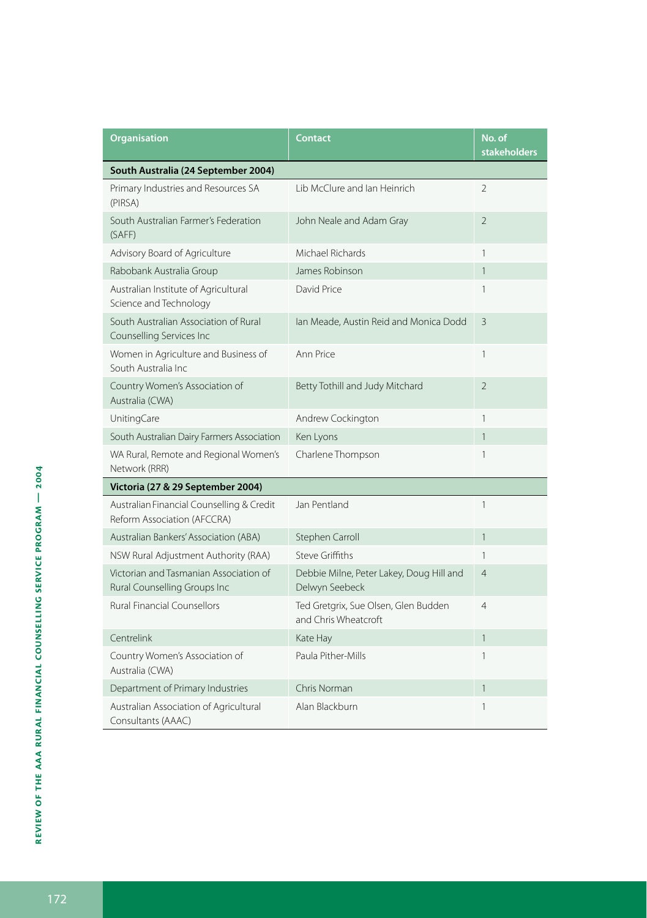| <b>Organisation</b>                                                      | <b>Contact</b>                                               | No. of<br><b>stakeholders</b> |  |  |
|--------------------------------------------------------------------------|--------------------------------------------------------------|-------------------------------|--|--|
| South Australia (24 September 2004)                                      |                                                              |                               |  |  |
| Primary Industries and Resources SA<br>(PIRSA)                           | Lib McClure and Ian Heinrich                                 | $\mathfrak{D}$                |  |  |
| South Australian Farmer's Federation<br>(SAFF)                           | John Neale and Adam Gray                                     | $\overline{2}$                |  |  |
| Advisory Board of Agriculture                                            | Michael Richards                                             | 1                             |  |  |
| Rabobank Australia Group                                                 | James Robinson                                               | $\mathbf{1}$                  |  |  |
| Australian Institute of Agricultural<br>Science and Technology           | David Price                                                  | 1                             |  |  |
| South Australian Association of Rural<br>Counselling Services Inc        | Ian Meade, Austin Reid and Monica Dodd                       | 3                             |  |  |
| Women in Agriculture and Business of<br>South Australia Inc.             | Ann Price                                                    | 1                             |  |  |
| Country Women's Association of<br>Australia (CWA)                        | Betty Tothill and Judy Mitchard                              | $\overline{2}$                |  |  |
| UnitingCare                                                              | Andrew Cockington                                            | 1                             |  |  |
| South Australian Dairy Farmers Association                               | Ken Lyons                                                    | 1                             |  |  |
| WA Rural, Remote and Regional Women's<br>Network (RRR)                   | Charlene Thompson                                            | 1                             |  |  |
| Victoria (27 & 29 September 2004)                                        |                                                              |                               |  |  |
| Australian Financial Counselling & Credit<br>Reform Association (AFCCRA) | Jan Pentland                                                 | 1                             |  |  |
| Australian Bankers' Association (ABA)                                    | Stephen Carroll                                              | 1                             |  |  |
| NSW Rural Adjustment Authority (RAA)                                     | Steve Griffiths                                              | 1                             |  |  |
| Victorian and Tasmanian Association of<br>Rural Counselling Groups Inc   | Debbie Milne, Peter Lakey, Doug Hill and<br>Delwyn Seebeck   | $\overline{4}$                |  |  |
| <b>Rural Financial Counsellors</b>                                       | Ted Gretgrix, Sue Olsen, Glen Budden<br>and Chris Wheatcroft | $\overline{4}$                |  |  |
| Centrelink                                                               | Kate Hay                                                     | $\mathbf{1}$                  |  |  |
| Country Women's Association of<br>Australia (CWA)                        | Paula Pither-Mills                                           | 1                             |  |  |
| Department of Primary Industries                                         | Chris Norman                                                 | 1                             |  |  |
| Australian Association of Agricultural<br>Consultants (AAAC)             | Alan Blackburn                                               | 1                             |  |  |